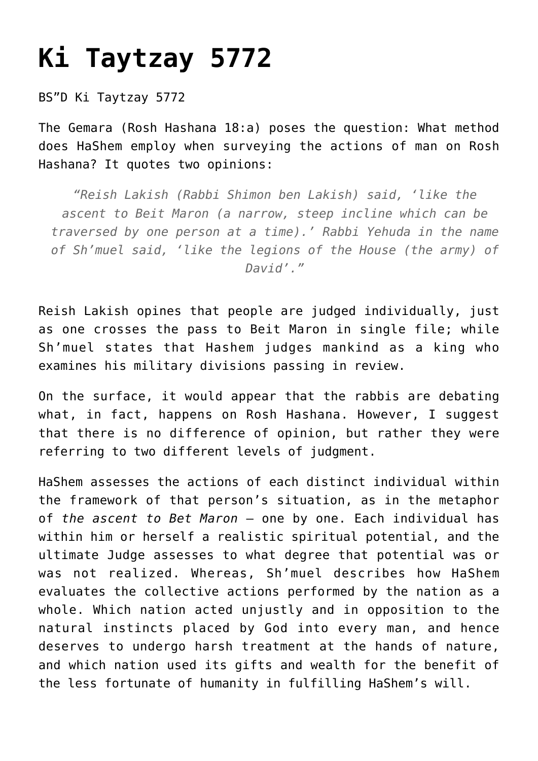## **[Ki Taytzay 5772](https://nachmankahana.com/ki-taytzay-5772/)**

## BS"D Ki Taytzay 5772

The Gemara (Rosh Hashana 18:a) poses the question: What method does HaShem employ when surveying the actions of man on Rosh Hashana? It quotes two opinions:

*"Reish Lakish (Rabbi Shimon ben Lakish) said, 'like the ascent to Beit Maron (a narrow, steep incline which can be traversed by one person at a time).' Rabbi Yehuda in the name of Sh'muel said, 'like the legions of the House (the army) of David'."*

Reish Lakish opines that people are judged individually, just as one crosses the pass to Beit Maron in single file; while Sh'muel states that Hashem judges mankind as a king who examines his military divisions passing in review.

On the surface, it would appear that the rabbis are debating what, in fact, happens on Rosh Hashana. However, I suggest that there is no difference of opinion, but rather they were referring to two different levels of judgment.

HaShem assesses the actions of each distinct individual within the framework of that person's situation, as in the metaphor of *the ascent to Bet Maron* — one by one. Each individual has within him or herself a realistic spiritual potential, and the ultimate Judge assesses to what degree that potential was or was not realized. Whereas, Sh'muel describes how HaShem evaluates the collective actions performed by the nation as a whole. Which nation acted unjustly and in opposition to the natural instincts placed by God into every man, and hence deserves to undergo harsh treatment at the hands of nature, and which nation used its gifts and wealth for the benefit of the less fortunate of humanity in fulfilling HaShem's will.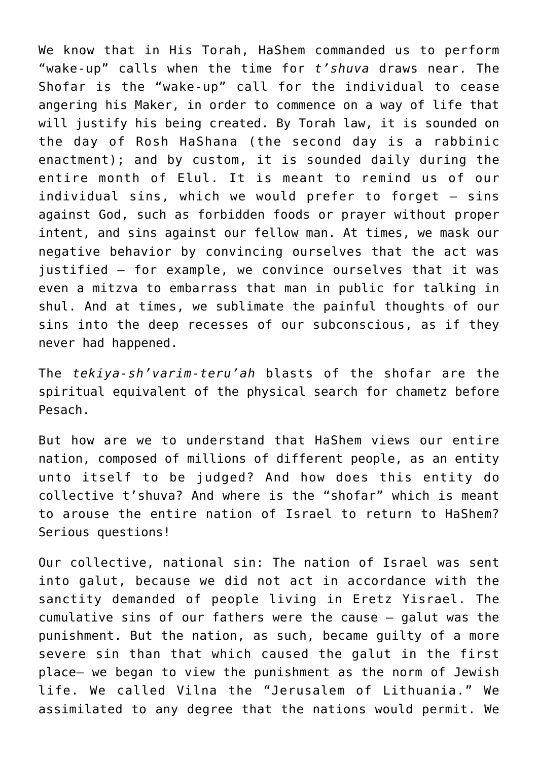We know that in His Torah, HaShem commanded us to perform "wake-up" calls when the time for *t'shuva* draws near. The Shofar is the "wake-up" call for the individual to cease angering his Maker, in order to commence on a way of life that will justify his being created. By Torah law, it is sounded on the day of Rosh HaShana (the second day is a rabbinic enactment); and by custom, it is sounded daily during the entire month of Elul. It is meant to remind us of our individual sins, which we would prefer to forget — sins against God, such as forbidden foods or prayer without proper intent, and sins against our fellow man. At times, we mask our negative behavior by convincing ourselves that the act was justified — for example, we convince ourselves that it was even a mitzva to embarrass that man in public for talking in shul. And at times, we sublimate the painful thoughts of our sins into the deep recesses of our subconscious, as if they never had happened.

The *tekiya-sh'varim-teru'ah* blasts of the shofar are the spiritual equivalent of the physical search for chametz before Pesach.

But how are we to understand that HaShem views our entire nation, composed of millions of different people, as an entity unto itself to be judged? And how does this entity do collective t'shuva? And where is the "shofar" which is meant to arouse the entire nation of Israel to return to HaShem? Serious questions!

Our collective, national sin: The nation of Israel was sent into galut, because we did not act in accordance with the sanctity demanded of people living in Eretz Yisrael. The cumulative sins of our fathers were the cause — galut was the punishment. But the nation, as such, became guilty of a more severe sin than that which caused the galut in the first place– we began to view the punishment as the norm of Jewish life. We called Vilna the "Jerusalem of Lithuania." We assimilated to any degree that the nations would permit. We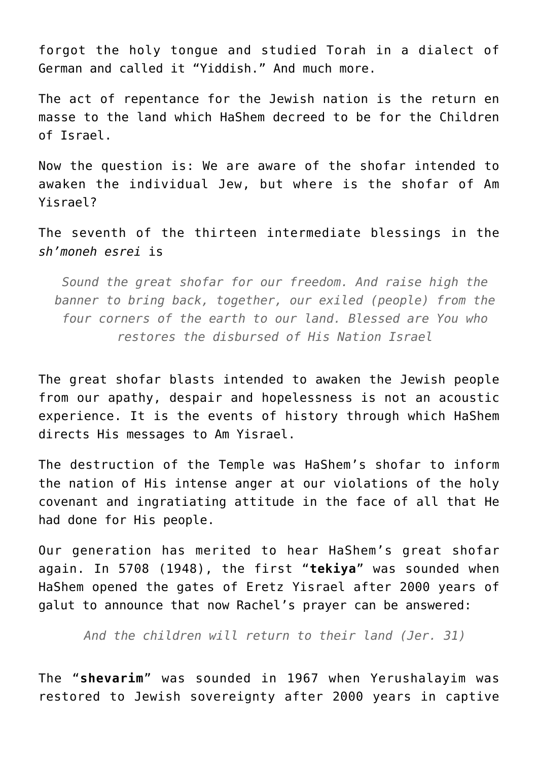forgot the holy tongue and studied Torah in a dialect of German and called it "Yiddish." And much more.

The act of repentance for the Jewish nation is the return en masse to the land which HaShem decreed to be for the Children of Israel.

Now the question is: We are aware of the shofar intended to awaken the individual Jew, but where is the shofar of Am Yisrael?

The seventh of the thirteen intermediate blessings in the *sh'moneh esrei* is

*Sound the great shofar for our freedom. And raise high the banner to bring back, together, our exiled (people) from the four corners of the earth to our land. Blessed are You who restores the disbursed of His Nation Israel*

The great shofar blasts intended to awaken the Jewish people from our apathy, despair and hopelessness is not an acoustic experience. It is the events of history through which HaShem directs His messages to Am Yisrael.

The destruction of the Temple was HaShem's shofar to inform the nation of His intense anger at our violations of the holy covenant and ingratiating attitude in the face of all that He had done for His people.

Our generation has merited to hear HaShem's great shofar again. In 5708 (1948), the first "**tekiya**" was sounded when HaShem opened the gates of Eretz Yisrael after 2000 years of galut to announce that now Rachel's prayer can be answered:

*And the children will return to their land (Jer. 31)*

The "**shevarim**" was sounded in 1967 when Yerushalayim was restored to Jewish sovereignty after 2000 years in captive